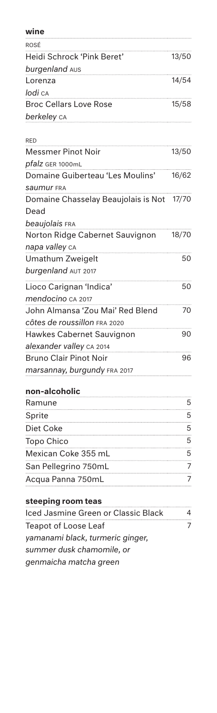| wine                                |       |
|-------------------------------------|-------|
| ROSÉ                                |       |
| Heidi Schrock 'Pink Beret'          | 13/50 |
| burgenland AUS                      |       |
| Lorenza                             | 14/54 |
| lodi ca                             |       |
| <b>Broc Cellars Love Rose</b>       | 15/58 |
| berkeley ca                         |       |
| <b>RED</b>                          |       |
| <b>Messmer Pinot Noir</b>           | 13/50 |
| pfalz GER 1000mL                    |       |
| Domaine Guiberteau 'Les Moulins'    | 16/62 |
| <b>Saumur FRA</b>                   |       |
| Domaine Chasselay Beaujolais is Not | 17/70 |
| Dead                                |       |
| beaujolais FRA                      |       |
| Norton Ridge Cabernet Sauvignon     | 18/70 |
| napa valley CA                      |       |
| Umathum Zweigelt                    | 50    |
| burgenland AUT 2017                 |       |
| Lioco Carignan 'Indica'             | 50    |
| mendocino CA 2017                   |       |
| John Almansa 'Zou Mai' Red Blend    | 70    |
| Côtes de roussillon FRA 2020        |       |
| <b>Hawkes Cabernet Sauvignon</b>    | 90    |
| alexander valley CA 2014            |       |
| <b>Bruno Clair Pinot Noir</b>       | 96    |
| marsannay, burgundy FRA 2017        |       |
| non-alcoholic                       |       |
| Ramune                              | 5     |
| Sprite                              | 5     |
| Diet Coke                           | 5     |
| <b>Topo Chico</b>                   | 5     |
| Mexican Coke 355 mL                 | 5     |
| San Pellegrino 750mL                | 7     |
| Acqua Panna 750mL                   | 7     |
| steeping room teas                  |       |
| Iced Jasmine Green or Classic Black | 4     |
| <b>Teapot of Loose Leaf</b>         | 7     |
| yamanami black, turmeric ginger,    |       |

*summer dusk chamomile, or genmaicha matcha green*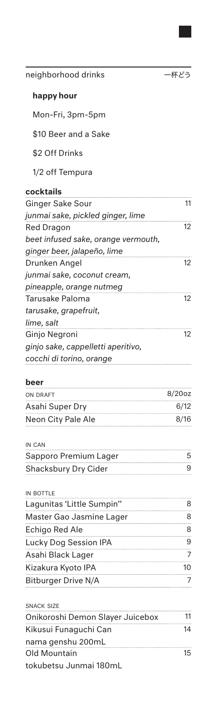| happy hour                           |                   |
|--------------------------------------|-------------------|
| Mon-Fri, 3pm-5pm                     |                   |
| \$10 Beer and a Sake                 |                   |
| \$2 Off Drinks                       |                   |
| 1/2 off Tempura                      |                   |
|                                      |                   |
| cocktails<br><b>Ginger Sake Sour</b> | 11                |
| junmai sake, pickled ginger, lime    |                   |
| <b>Red Dragon</b>                    | 12                |
| beet infused sake, orange vermouth,  |                   |
| ginger beer, jalapeño, lime          |                   |
| Drunken Angel                        | 12                |
| junmai sake, coconut cream,          |                   |
| pineapple, orange nutmeg             |                   |
| <b>Tarusake Paloma</b>               | 12                |
| tarusake, grapefruit,                |                   |
| lime, salt                           |                   |
| Ginjo Negroni                        | $12 \overline{ }$ |
| ginjo sake, cappelletti aperitivo,   |                   |
| cocchi di torino, orange             |                   |
| beer                                 |                   |
| ON DRAFT                             | $8/20$ oz         |
| Asahi Super Dry                      | 6/12              |
| Neon City Pale Ale                   | 8/16              |
|                                      |                   |
| IN CAN                               |                   |
| Sapporo Premium Lager                | 5                 |
| <b>Shacksbury Dry Cider</b>          | 9                 |
| IN BOTTLE                            |                   |
| Lagunitas 'Little Sumpin''           | 8                 |
| <u> Master Gao Jasmine Lager</u>     | 8                 |
| Echigo Red Ale                       | 8                 |
| Lucky Dog Session IPA                | 9                 |
| Asahi Black Lager                    | 7                 |
| Kizakura Kyoto IPA                   | 10                |
| <b>Bitburger Drive N/A</b>           |                   |
|                                      |                   |
| <b>SNACK SIZE</b>                    |                   |
| Onikoroshi Demon Slayer Juicebox     | 11                |
| Kikusui Funaguchi Can                | 14                |
| nama genshu 200mL                    |                   |
| <b>Old Mountain</b>                  | 15                |
| tokubetsu Junmai 180mL               |                   |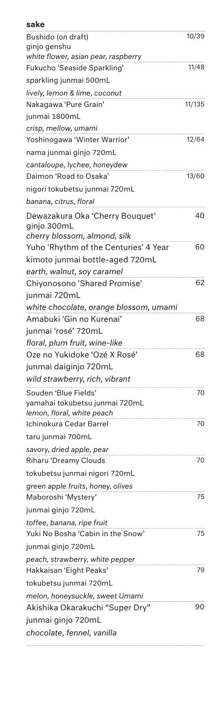| sake                                                       |        |
|------------------------------------------------------------|--------|
| Bushido (on draft)                                         | 10/39  |
| ginjo genshu                                               |        |
| white flower, asian pear, raspberry                        |        |
| Fukucho 'Seaside Sparkling'                                | 11/48  |
| sparkling junmai 500mL                                     |        |
| lively, lemon & lime, coconut                              |        |
| Nakagawa 'Pure Grain'                                      | 11/135 |
| junmai 1800mL                                              |        |
| crisp, mellow, umami                                       |        |
| Yoshinogawa 'Winter Warrior'                               | 12/64  |
| nama junmai ginjo 720mL                                    |        |
| cantaloupe, lychee, honeydew<br>Daimon 'Road to Osaka'     | 13/60  |
| nigori tokubetsu junmai 720mL                              |        |
| banana, citrus, floral                                     |        |
| Dewazakura Oka 'Cherry Bouquet'                            | 40     |
| ginjo 300mL                                                |        |
| cherry blossom, almond, silk                               |        |
| Yuho 'Rhythm of the Centuries' 4 Year                      | 60     |
| kimoto junmai bottle-aged 720mL                            |        |
| earth, walnut, soy caramel                                 |        |
| Chiyonosono 'Shared Promise'                               | 62     |
| junmai 720mL                                               |        |
| white chocolate, orange blossom, umami                     |        |
| Amabuki 'Gin no Kurenai'                                   | 68     |
| junmai 'rosé' 720mL                                        |        |
| floral, plum fruit, wine-like                              |        |
| Oze no Yukidoke 'Ozé X Rosé'                               | 68     |
| junmai daiginjo 720mL                                      |        |
| wild strawberry, rich, vibrant                             |        |
| Souden 'Blue Fields'                                       | 70     |
| yamahai tokubetsu junmai 720mL                             |        |
| lemon, floral, white peach                                 |        |
| Ichinokura Cedar Barrel                                    | 70     |
| taru junmai 700mL                                          |        |
| savory, dried apple, pear                                  |        |
| <b>Riharu 'Dreamy Clouds</b>                               | 70     |
| tokubetsu junmai nigori 720mL                              |        |
| green apple fruits, honey, olives                          |        |
| Maboroshi 'Mystery'                                        | 75     |
| junmai ginjo 720mL                                         |        |
| toffee, banana, ripe fruit                                 |        |
| Yuki No Bosha 'Cabin in the Snow'                          | 75     |
| junmai ginjo 720mL                                         |        |
| peach, strawberry, white pepper<br>Hakkaisan 'Eight Peaks' | 79     |
| tokubetsu junmai 720mL                                     |        |
| melon, honeysuckle, sweet Umami                            |        |
| Akishika Okarakuchi "Super Dry"                            | 90     |
| junmai ginjo 720mL                                         |        |
| chocolate, fennel, vanilla                                 |        |
|                                                            |        |